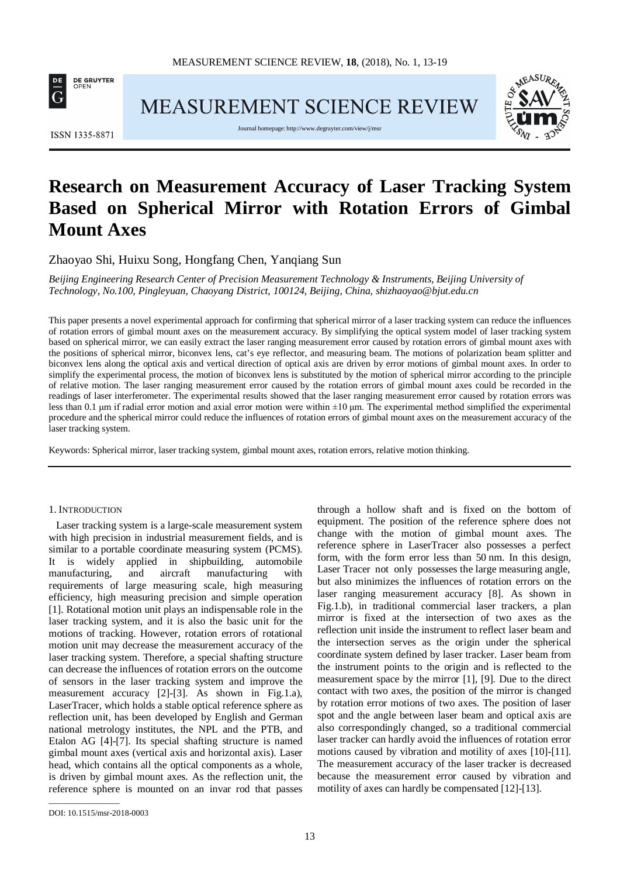

MEASUREMENT SCIENCE REVIEW



**ISSN 1335-8871** 

Journal homepage[: http://www.degruyter.com/view/j/msr](http://www.degruyter.com/view/j/msr)

# **Research on Measurement Accuracy of Laser Tracking System Based on Spherical Mirror with Rotation Errors of Gimbal Mount Axes**

Zhaoyao Shi, Huixu Song, Hongfang Chen, Yanqiang Sun

*Beijing Engineering Research Center of Precision Measurement Technology & Instruments, Beijing University of Technology, No.100, Pingleyuan, Chaoyang District, 100124, Beijing, China, shizhaoyao@bjut.edu.cn*

This paper presents a novel experimental approach for confirming that spherical mirror of a laser tracking system can reduce the influences of rotation errors of gimbal mount axes on the measurement accuracy. By simplifying the optical system model of laser tracking system based on spherical mirror, we can easily extract the laser ranging measurement error caused by rotation errors of gimbal mount axes with the positions of spherical mirror, biconvex lens, cat's eye reflector, and measuring beam. The motions of polarization beam splitter and biconvex lens along the optical axis and vertical direction of optical axis are driven by error motions of gimbal mount axes. In order to simplify the experimental process, the motion of biconvex lens is substituted by the motion of spherical mirror according to the principle of relative motion. The laser ranging measurement error caused by the rotation errors of gimbal mount axes could be recorded in the readings of laser interferometer. The experimental results showed that the laser ranging measurement error caused by rotation errors was less than 0.1 μm if radial error motion and axial error motion were within ±10 μm. The experimental method simplified the experimental procedure and the spherical mirror could reduce the influences of rotation errors of gimbal mount axes on the measurement accuracy of the laser tracking system.

Keywords: Spherical mirror, laser tracking system, gimbal mount axes, rotation errors, relative motion thinking.

## 1. INTRODUCTION

Laser tracking system is a large-scale measurement system with high precision in industrial measurement fields, and is similar to a portable coordinate measuring system (PCMS). It is widely applied in shipbuilding, automobile manufacturing, and aircraft manufacturing with requirements of large measuring scale, high measuring efficiency, high measuring precision and simple operation [1]. Rotational motion unit plays an indispensable role in the laser tracking system, and it is also the basic unit for the motions of tracking. However, rotation errors of rotational motion unit may decrease the measurement accuracy of the laser tracking system. Therefore, a special shafting structure can decrease the influences of rotation errors on the outcome of sensors in the laser tracking system and improve the measurement accuracy [2]-[3]. As shown in Fig.1.a), LaserTracer, which holds a stable optical reference sphere as reflection unit, has been developed by English and German national metrology institutes, the NPL and the PTB, and Etalon AG [4]-[7]. Its special shafting structure is named gimbal mount axes (vertical axis and horizontal axis). Laser head, which contains all the optical components as a whole, is driven by gimbal mount axes. As the reflection unit, the reference sphere is mounted on an invar rod that passes

through a hollow shaft and is fixed on the bottom of equipment. The position of the reference sphere does not change with the motion of gimbal mount axes. The reference sphere in LaserTracer also possesses a perfect form, with the form error less than 50 nm. In this design, Laser Tracer not only possesses the large measuring angle, but also minimizes the influences of rotation errors on the laser ranging measurement accuracy [8]. As shown in Fig.1.b), in traditional commercial laser trackers, a plan mirror is fixed at the intersection of two axes as the reflection unit inside the instrument to reflect laser beam and the intersection serves as the origin under the spherical coordinate system defined by laser tracker. Laser beam from the instrument points to the origin and is reflected to the measurement space by the mirror [1], [9]. Due to the direct contact with two axes, the position of the mirror is changed by rotation error motions of two axes. The position of laser spot and the angle between laser beam and optical axis are also correspondingly changed, so a traditional commercial laser tracker can hardly avoid the influences of rotation error motions caused by vibration and motility of axes [10]-[11]. The measurement accuracy of the laser tracker is decreased because the measurement error caused by vibration and motility of axes can hardly be compensated [12]-[13].

\_\_\_\_\_\_\_\_\_\_\_\_\_\_\_\_\_

DOI: 10.1515/msr-2018-0003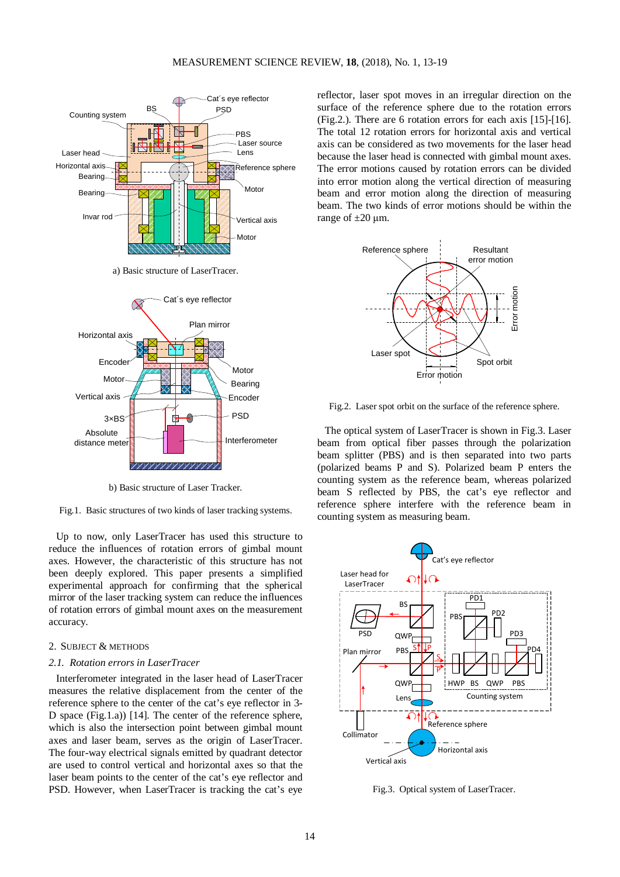

a) Basic structure of LaserTracer.



b) Basic structure of Laser Tracker.

Fig.1. Basic structures of two kinds of laser tracking systems.

Up to now, only LaserTracer has used this structure to reduce the influences of rotation errors of gimbal mount axes. However, the characteristic of this structure has not been deeply explored. This paper presents a simplified experimental approach for confirming that the spherical mirror of the laser tracking system can reduce the influences of rotation errors of gimbal mount axes on the measurement accuracy.

## 2. SUBJECT & METHODS

#### *2.1. Rotation errors in LaserTracer*

Interferometer integrated in the laser head of LaserTracer measures the relative displacement from the center of the reference sphere to the center of the cat's eye reflector in 3- D space (Fig.1.a)) [14]. The center of the reference sphere, which is also the intersection point between gimbal mount axes and laser beam, serves as the origin of LaserTracer. The four-way electrical signals emitted by quadrant detector are used to control vertical and horizontal axes so that the laser beam points to the center of the cat's eye reflector and PSD. However, when LaserTracer is tracking the cat's eye reflector, laser spot moves in an irregular direction on the surface of the reference sphere due to the rotation errors (Fig.2.). There are 6 rotation errors for each axis [15]-[16]. The total 12 rotation errors for horizontal axis and vertical axis can be considered as two movements for the laser head because the laser head is connected with gimbal mount axes. The error motions caused by rotation errors can be divided into error motion along the vertical direction of measuring beam and error motion along the direction of measuring beam. The two kinds of error motions should be within the range of  $\pm 20 \mu$ m.



Fig.2. Laser spot orbit on the surface of the reference sphere.

The optical system of LaserTracer is shown in Fig.3. Laser beam from optical fiber passes through the polarization beam splitter (PBS) and is then separated into two parts (polarized beams P and S). Polarized beam P enters the counting system as the reference beam, whereas polarized beam S reflected by PBS, the cat's eye reflector and reference sphere interfere with the reference beam in counting system as measuring beam.



Fig.3. Optical system of LaserTracer.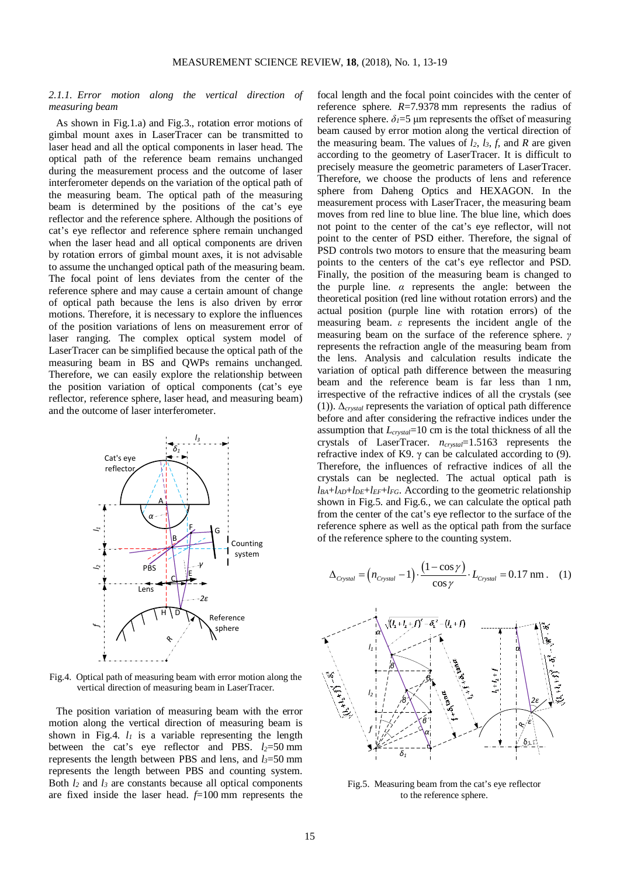## *2.1.1. Error motion along the vertical direction of measuring beam*

As shown in Fig.1.a) and Fig.3., rotation error motions of gimbal mount axes in LaserTracer can be transmitted to laser head and all the optical components in laser head. The optical path of the reference beam remains unchanged during the measurement process and the outcome of laser interferometer depends on the variation of the optical path of the measuring beam. The optical path of the measuring beam is determined by the positions of the cat's eye reflector and the reference sphere. Although the positions of cat's eye reflector and reference sphere remain unchanged when the laser head and all optical components are driven by rotation errors of gimbal mount axes, it is not advisable to assume the unchanged optical path of the measuring beam. The focal point of lens deviates from the center of the reference sphere and may cause a certain amount of change of optical path because the lens is also driven by error motions. Therefore, it is necessary to explore the influences of the position variations of lens on measurement error of laser ranging. The complex optical system model of LaserTracer can be simplified because the optical path of the measuring beam in BS and QWPs remains unchanged. Therefore, we can easily explore the relationship between the position variation of optical components (cat's eye reflector, reference sphere, laser head, and measuring beam) and the outcome of laser interferometer.



Fig.4. Optical path of measuring beam with error motion along the vertical direction of measuring beam in LaserTracer.

The position variation of measuring beam with the error motion along the vertical direction of measuring beam is shown in Fig.4.  $l_1$  is a variable representing the length between the cat's eye reflector and PBS.  $l_2 = 50$  mm represents the length between PBS and lens, and *l3*=50 mm represents the length between PBS and counting system. Both  $l_2$  and  $l_3$  are constants because all optical components are fixed inside the laser head. *f*=100 mm represents the focal length and the focal point coincides with the center of reference sphere. *R*=7.9378 mm represents the radius of reference sphere.  $δ$ <sup>1=5</sup> μm represents the offset of measuring beam caused by error motion along the vertical direction of the measuring beam. The values of  $l_2$ ,  $l_3$ ,  $f$ , and  $R$  are given according to the geometry of LaserTracer. It is difficult to precisely measure the geometric parameters of LaserTracer. Therefore, we choose the products of lens and reference sphere from Daheng Optics and HEXAGON. In the measurement process with LaserTracer, the measuring beam moves from red line to blue line. The blue line, which does not point to the center of the cat's eye reflector, will not point to the center of PSD either. Therefore, the signal of PSD controls two motors to ensure that the measuring beam points to the centers of the cat's eye reflector and PSD. Finally, the position of the measuring beam is changed to the purple line.  $\alpha$  represents the angle: between the theoretical position (red line without rotation errors) and the actual position (purple line with rotation errors) of the measuring beam. *ε* represents the incident angle of the measuring beam on the surface of the reference sphere. *γ* represents the refraction angle of the measuring beam from the lens. Analysis and calculation results indicate the variation of optical path difference between the measuring beam and the reference beam is far less than 1 nm, irrespective of the refractive indices of all the crystals (see (1)). Δ*crystal* represents the variation of optical path difference before and after considering the refractive indices under the assumption that *Lcrystal*=10 cm is the total thickness of all the crystals of LaserTracer. *ncrystal*=1.5163 represents the refractive index of K9.  $\gamma$  can be calculated according to (9). Therefore, the influences of refractive indices of all the crystals can be neglected. The actual optical path is  $l_{BA}$ + $l_{AD}$ + $l_{DE}$ + $l_{EF}$ + $l_{FG}$ . According to the geometric relationship shown in Fig.5. and Fig.6., we can calculate the optical path from the center of the cat's eye reflector to the surface of the reference sphere as well as the optical path from the surface of the reference sphere to the counting system.

$$
\Delta_{\text{Crystal}} = (n_{\text{Crystal}} - 1) \cdot \frac{(1 - \cos \gamma)}{\cos \gamma} \cdot L_{\text{Crystal}} = 0.17 \text{ nm}. \quad (1)
$$



Fig.5. Measuring beam from the cat's eye reflector to the reference sphere.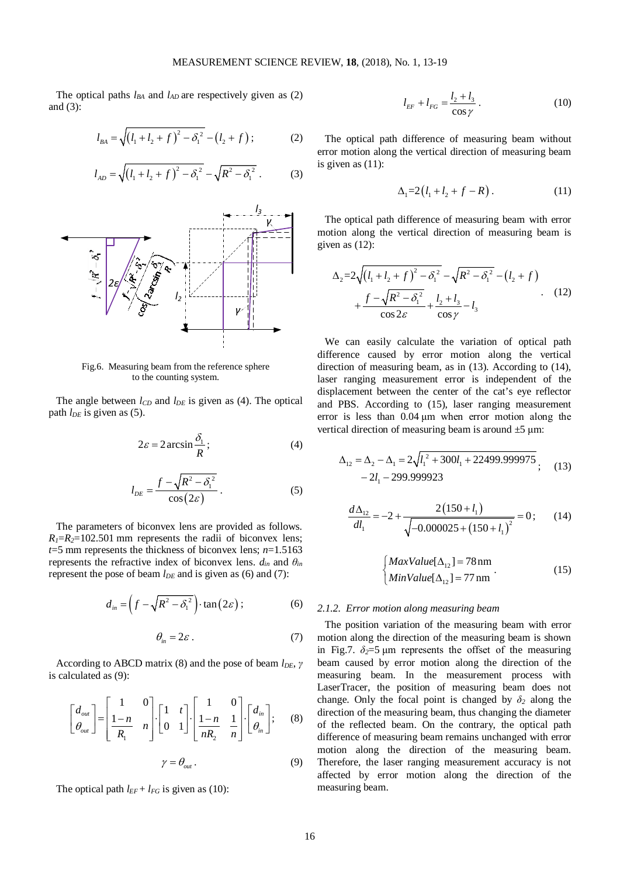The optical paths  $l_{BA}$  and  $l_{AD}$  are respectively given as (2) and (3):

$$
l_{BA} = \sqrt{\left(l_1 + l_2 + f\right)^2 - \delta_1^2} - \left(l_2 + f\right); \tag{2}
$$

$$
l_{AD} = \sqrt{\left(l_1 + l_2 + f\right)^2 - \delta_1^2} - \sqrt{R^2 - \delta_1^2} \ . \tag{3}
$$



Fig.6. Measuring beam from the reference sphere to the counting system.

The angle between  $l_{CD}$  and  $l_{DE}$  is given as (4). The optical path  $l_{DE}$  is given as (5).

$$
2\varepsilon = 2\arcsin\frac{\delta_1}{R};\tag{4}
$$

$$
l_{DE} = \frac{f - \sqrt{R^2 - \delta_1^2}}{\cos(2\varepsilon)}.
$$
 (5)

The parameters of biconvex lens are provided as follows.  $R_1=R_2=102.501$  mm represents the radii of biconvex lens; *t*=5 mm represents the thickness of biconvex lens; *n*=1.5163 represents the refractive index of biconvex lens.  $d_{in}$  and  $\theta_{in}$ represent the pose of beam  $l_{DE}$  and is given as (6) and (7):

$$
d_{in} = \left(f - \sqrt{R^2 - \delta_1^2}\right) \cdot \tan\left(2\varepsilon\right); \tag{6}
$$

$$
\theta_{in} = 2\varepsilon \,. \tag{7}
$$

According to ABCD matrix (8) and the pose of beam *l<sub>DE</sub>*, *γ* is calculated as (9):

$$
\begin{bmatrix} d_{out} \\ \theta_{out} \end{bmatrix} = \begin{bmatrix} 1 & 0 \\ \frac{1-n}{R_1} & n \end{bmatrix} \cdot \begin{bmatrix} 1 & t \\ 0 & 1 \end{bmatrix} \cdot \begin{bmatrix} 1 & 0 \\ \frac{1-n}{nR_2} & \frac{1}{n} \end{bmatrix} \cdot \begin{bmatrix} d_{in} \\ \theta_{in} \end{bmatrix}; \quad (8)
$$

$$
\gamma = \theta_{out} \,. \tag{9}
$$

The optical path  $l_{EF}$  +  $l_{FG}$  is given as (10):

$$
l_{EF} + l_{FG} = \frac{l_2 + l_3}{\cos \gamma} \,. \tag{10}
$$

The optical path difference of measuring beam without error motion along the vertical direction of measuring beam is given as (11):

$$
\Delta_1 = 2(l_1 + l_2 + f - R). \tag{11}
$$

The optical path difference of measuring beam with error motion along the vertical direction of measuring beam is given as (12):

$$
\Delta_2 = 2\sqrt{(l_1 + l_2 + f)^2 - \delta_1^2} - \sqrt{R^2 - \delta_1^2} - (l_2 + f) + \frac{f - \sqrt{R^2 - \delta_1^2}}{\cos 2\varepsilon} + \frac{l_2 + l_3}{\cos \gamma} - l_3
$$
 (12)

We can easily calculate the variation of optical path difference caused by error motion along the vertical direction of measuring beam, as in (13). According to (14), laser ranging measurement error is independent of the displacement between the center of the cat's eye reflector and PBS. According to (15), laser ranging measurement error is less than 0.04 μm when error motion along the vertical direction of measuring beam is around  $\pm 5$  µm:

$$
\Delta_{12} = \Delta_2 - \Delta_1 = 2\sqrt{l_1^2 + 300l_1 + 22499.999975}
$$
  
- 2l\_1 - 299.999923 (13)

$$
\frac{d\Delta_{12}}{dl_1} = -2 + \frac{2(150 + l_1)}{\sqrt{-0.000025 + (150 + l_1)^2}} = 0;
$$
 (14)

$$
\begin{cases}\nMaxValue[\Delta_{12}] = 78 \text{ nm} \\
MinValue[\Delta_{12}] = 77 \text{ nm}\n\end{cases} (15)
$$

#### *2.1.2. Error motion along measuring beam*

The position variation of the measuring beam with error motion along the direction of the measuring beam is shown in Fig.7.  $\delta_2 = 5 \mu m$  represents the offset of the measuring beam caused by error motion along the direction of the measuring beam. In the measurement process with LaserTracer, the position of measuring beam does not change. Only the focal point is changed by  $\delta_2$  along the direction of the measuring beam, thus changing the diameter of the reflected beam. On the contrary, the optical path difference of measuring beam remains unchanged with error motion along the direction of the measuring beam. Therefore, the laser ranging measurement accuracy is not affected by error motion along the direction of the measuring beam.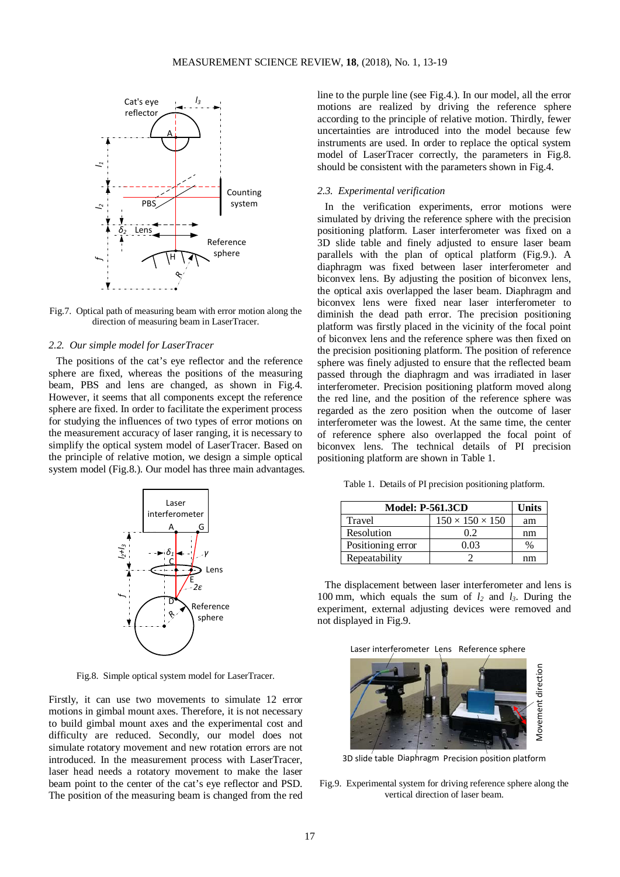

Fig.7. Optical path of measuring beam with error motion along the direction of measuring beam in LaserTracer.

## *2.2. Our simple model for LaserTracer*

The positions of the cat's eye reflector and the reference sphere are fixed, whereas the positions of the measuring beam, PBS and lens are changed, as shown in Fig.4. However, it seems that all components except the reference sphere are fixed. In order to facilitate the experiment process for studying the influences of two types of error motions on the measurement accuracy of laser ranging, it is necessary to simplify the optical system model of LaserTracer. Based on the principle of relative motion, we design a simple optical system model (Fig.8.). Our model has three main advantages.



Fig.8. Simple optical system model for LaserTracer.

Firstly, it can use two movements to simulate 12 error motions in gimbal mount axes. Therefore, it is not necessary to build gimbal mount axes and the experimental cost and difficulty are reduced. Secondly, our model does not simulate rotatory movement and new rotation errors are not introduced. In the measurement process with LaserTracer, laser head needs a rotatory movement to make the laser beam point to the center of the cat's eye reflector and PSD. The position of the measuring beam is changed from the red line to the purple line (see Fig.4.). In our model, all the error motions are realized by driving the reference sphere according to the principle of relative motion. Thirdly, fewer uncertainties are introduced into the model because few instruments are used. In order to replace the optical system model of LaserTracer correctly, the parameters in Fig.8. should be consistent with the parameters shown in Fig.4.

#### *2.3. Experimental verification*

In the verification experiments, error motions were simulated by driving the reference sphere with the precision positioning platform. Laser interferometer was fixed on a 3D slide table and finely adjusted to ensure laser beam parallels with the plan of optical platform (Fig.9.). A diaphragm was fixed between laser interferometer and biconvex lens. By adjusting the position of biconvex lens, the optical axis overlapped the laser beam. Diaphragm and biconvex lens were fixed near laser interferometer to diminish the dead path error. The precision positioning platform was firstly placed in the vicinity of the focal point of biconvex lens and the reference sphere was then fixed on the precision positioning platform. The position of reference sphere was finely adjusted to ensure that the reflected beam passed through the diaphragm and was irradiated in laser interferometer. Precision positioning platform moved along the red line, and the position of the reference sphere was regarded as the zero position when the outcome of laser interferometer was the lowest. At the same time, the center of reference sphere also overlapped the focal point of biconvex lens. The technical details of PI precision positioning platform are shown in Table 1.

Table 1. Details of PI precision positioning platform.

| <b>Model: P-561.3CD</b> | Units                       |    |
|-------------------------|-----------------------------|----|
| Travel                  | $150 \times 150 \times 150$ | am |
| Resolution              | 02                          | nm |
| Positioning error       | 0.03                        |    |
| Repeatability           |                             | nm |

The displacement between laser interferometer and lens is 100 mm, which equals the sum of *l2* and *l3*. During the experiment, external adjusting devices were removed and not displayed in Fig.9.

| Laser interferometer Lens Reference sphere |  |  |
|--------------------------------------------|--|--|
|                                            |  |  |



3D slide table Diaphragm Precision position platform

Fig.9. Experimental system for driving reference sphere along the vertical direction of laser beam.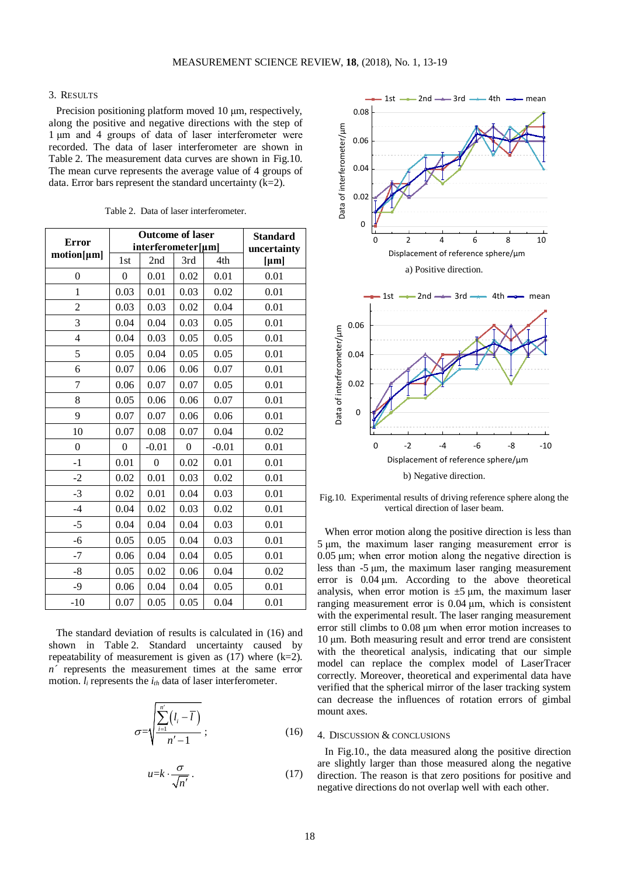#### 3. RESULTS

Precision positioning platform moved 10 μm, respectively, along the positive and negative directions with the step of 1 μm and 4 groups of data of laser interferometer were recorded. The data of laser interferometer are shown in Table 2. The measurement data curves are shown in Fig.10. The mean curve represents the average value of 4 groups of data. Error bars represent the standard uncertainty (k=2).

|                | <b>Outcome of laser</b> |                  |                  |         | <b>Standard</b><br>uncertainty |
|----------------|-------------------------|------------------|------------------|---------|--------------------------------|
| <b>Error</b>   | interferometer[µm]      |                  |                  |         |                                |
| motion[µm]     | 1st                     | 2nd              | 3rd              | 4th     | $[\mu m]$                      |
| $\overline{0}$ | $\theta$                | 0.01             | 0.02             | 0.01    | 0.01                           |
| $\mathbf{1}$   | 0.03                    | 0.01             | 0.03             | 0.02    | 0.01                           |
| $\overline{c}$ | 0.03                    | 0.03             | 0.02             | 0.04    | 0.01                           |
| 3              | 0.04                    | 0.04             | 0.03             | 0.05    | 0.01                           |
| 4              | 0.04                    | 0.03             | 0.05             | 0.05    | 0.01                           |
| 5              | 0.05                    | 0.04             | 0.05             | 0.05    | 0.01                           |
| 6              | 0.07                    | 0.06             | 0.06             | 0.07    | 0.01                           |
| 7              | 0.06                    | 0.07             | 0.07             | 0.05    | 0.01                           |
| 8              | 0.05                    | 0.06             | 0.06             | 0.07    | 0.01                           |
| 9              | 0.07                    | 0.07             | 0.06             | 0.06    | 0.01                           |
| 10             | 0.07                    | 0.08             | 0.07             | 0.04    | 0.02                           |
| $\theta$       | $\theta$                | $-0.01$          | $\boldsymbol{0}$ | $-0.01$ | 0.01                           |
| $-1$           | 0.01                    | $\boldsymbol{0}$ | 0.02             | 0.01    | 0.01                           |
| $-2$           | 0.02                    | 0.01             | 0.03             | 0.02    | 0.01                           |
| $-3$           | 0.02                    | 0.01             | 0.04             | 0.03    | 0.01                           |
| $-4$           | 0.04                    | 0.02             | 0.03             | 0.02    | 0.01                           |
| $-5$           | 0.04                    | 0.04             | 0.04             | 0.03    | 0.01                           |
| -6             | 0.05                    | 0.05             | 0.04             | 0.03    | 0.01                           |
| $-7$           | 0.06                    | 0.04             | 0.04             | 0.05    | 0.01                           |
| $-8$           | 0.05                    | 0.02             | 0.06             | 0.04    | 0.02                           |
| $-9$           | 0.06                    | 0.04             | 0.04             | 0.05    | 0.01                           |
| $-10$          | 0.07                    | 0.05             | 0.05             | 0.04    | 0.01                           |

Table 2. Data of laser interferometer.

The standard deviation of results is calculated in (16) and shown in Table 2. Standard uncertainty caused by repeatability of measurement is given as  $(17)$  where  $(k=2)$ . *n´* represents the measurement times at the same error motion.  $l_i$  represents the  $i_{th}$  data of laser interferometer.

$$
\sigma = \sqrt{\frac{\sum_{i=1}^{n'} (l_i - \overline{l})}{n' - 1}};
$$
\n(16)

$$
u = k \cdot \frac{\sigma}{\sqrt{n'}}.
$$
 (17)



Fig.10. Experimental results of driving reference sphere along the vertical direction of laser beam.

When error motion along the positive direction is less than 5 μm, the maximum laser ranging measurement error is 0.05 μm; when error motion along the negative direction is less than -5 μm, the maximum laser ranging measurement error is 0.04 μm. According to the above theoretical analysis, when error motion is  $\pm 5 \mu m$ , the maximum laser ranging measurement error is 0.04 μm, which is consistent with the experimental result. The laser ranging measurement error still climbs to 0.08 μm when error motion increases to 10 μm. Both measuring result and error trend are consistent with the theoretical analysis, indicating that our simple model can replace the complex model of LaserTracer correctly. Moreover, theoretical and experimental data have verified that the spherical mirror of the laser tracking system can decrease the influences of rotation errors of gimbal mount axes.

## 4. DISCUSSION & CONCLUSIONS

In Fig.10., the data measured along the positive direction are slightly larger than those measured along the negative direction. The reason is that zero positions for positive and negative directions do not overlap well with each other.